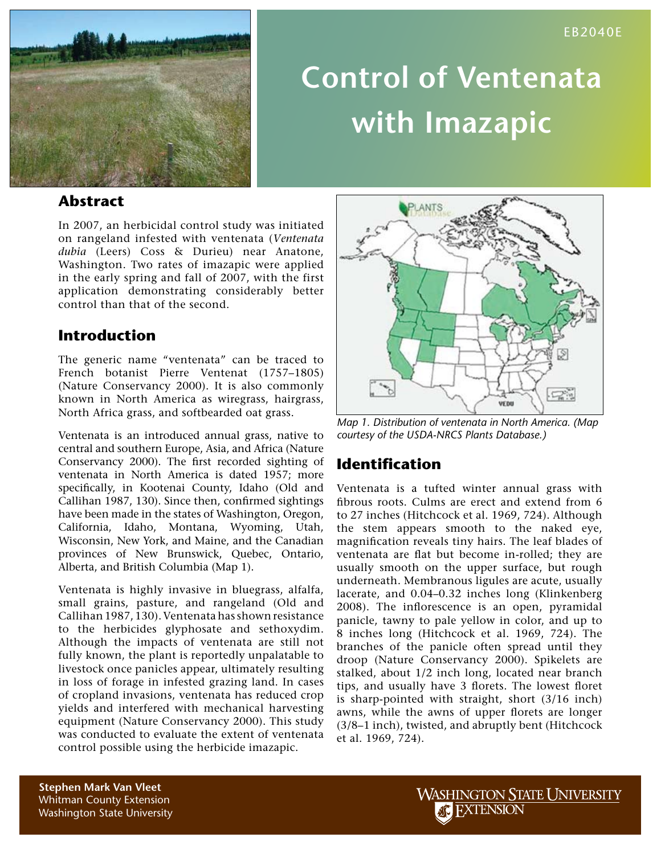

# **Control of Ventenata with Imazapic**

#### **Abstract**

In 2007, an herbicidal control study was initiated on rangeland infested with ventenata (*Ventenata dubia* (Leers) Coss & Durieu) near Anatone, Washington. Two rates of imazapic were applied in the early spring and fall of 2007, with the first application demonstrating considerably better control than that of the second.

#### **Introduction**

The generic name "ventenata" can be traced to French botanist Pierre Ventenat (1757–1805) (Nature Conservancy 2000). It is also commonly known in North America as wiregrass, hairgrass, North Africa grass, and softbearded oat grass.

Ventenata is an introduced annual grass, native to central and southern Europe, Asia, and Africa (Nature Conservancy 2000). The first recorded sighting of ventenata in North America is dated 1957; more specifically, in Kootenai County, Idaho (Old and Callihan 1987, 130). Since then, confirmed sightings have been made in the states of Washington, Oregon, California, Idaho, Montana, Wyoming, Utah, Wisconsin, New York, and Maine, and the Canadian provinces of New Brunswick, Quebec, Ontario, Alberta, and British Columbia (Map 1).

Ventenata is highly invasive in bluegrass, alfalfa, small grains, pasture, and rangeland (Old and Callihan 1987, 130). Ventenata has shown resistance to the herbicides glyphosate and sethoxydim. Although the impacts of ventenata are still not fully known, the plant is reportedly unpalatable to livestock once panicles appear, ultimately resulting in loss of forage in infested grazing land. In cases of cropland invasions, ventenata has reduced crop yields and interfered with mechanical harvesting equipment (Nature Conservancy 2000). This study was conducted to evaluate the extent of ventenata control possible using the herbicide imazapic.



*Map 1. Distribution of ventenata in North America. (Map courtesy of the USDA-NRCS Plants Database.)*

## **Identification**

Ventenata is a tufted winter annual grass with fibrous roots. Culms are erect and extend from 6 to 27 inches (Hitchcock et al. 1969, 724). Although the stem appears smooth to the naked eye, magnification reveals tiny hairs. The leaf blades of ventenata are flat but become in-rolled; they are usually smooth on the upper surface, but rough underneath. Membranous ligules are acute, usually lacerate, and 0.04–0.32 inches long (Klinkenberg 2008). The inflorescence is an open, pyramidal panicle, tawny to pale yellow in color, and up to 8 inches long (Hitchcock et al. 1969, 724). The branches of the panicle often spread until they droop (Nature Conservancy 2000). Spikelets are stalked, about 1/2 inch long, located near branch tips, and usually have 3 florets. The lowest floret is sharp-pointed with straight, short (3/16 inch) awns, while the awns of upper florets are longer (3/8–1 inch), twisted, and abruptly bent (Hitchcock et al. 1969, 724).

**WASHINGTON STATE UNIVERSITY AC FXTENSION**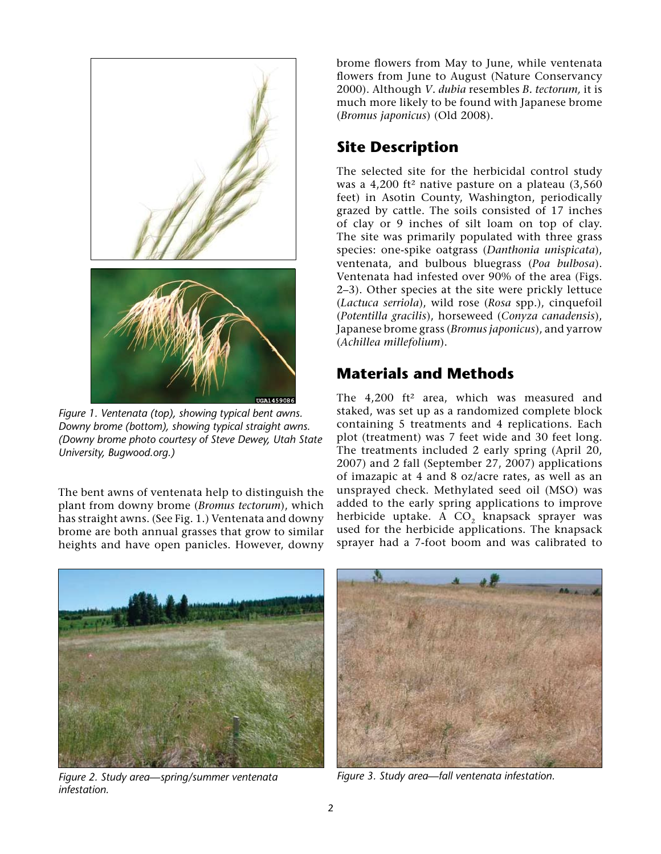

*Figure 1. Ventenata (top), showing typical bent awns. Downy brome (bottom), showing typical straight awns. (Downy brome photo courtesy of Steve Dewey, Utah State University, Bugwood.org.)*

The bent awns of ventenata help to distinguish the plant from downy brome (*Bromus tectorum*), which has straight awns. (See Fig. 1.) Ventenata and downy brome are both annual grasses that grow to similar heights and have open panicles. However, downy

brome flowers from May to June, while ventenata flowers from June to August (Nature Conservancy 2000). Although *V. dubia* resembles *B. tectorum,* it is much more likely to be found with Japanese brome (*Bromus japonicus*) (Old 2008).

# **Site Description**

The selected site for the herbicidal control study was a 4,200 ft² native pasture on a plateau (3,560 feet) in Asotin County, Washington, periodically grazed by cattle. The soils consisted of 17 inches of clay or 9 inches of silt loam on top of clay. The site was primarily populated with three grass species: one-spike oatgrass (*Danthonia unispicata*), ventenata, and bulbous bluegrass (*Poa bulbosa*). Ventenata had infested over 90% of the area (Figs. 2–3). Other species at the site were prickly lettuce (*Lactuca serriola*), wild rose (*Rosa* spp.), cinquefoil (*Potentilla gracilis*), horseweed (*Conyza canadensis*), Japanese brome grass (*Bromus japonicus*), and yarrow (*Achillea millefolium*).

# **Materials and Methods**

The 4,200 ft<sup>2</sup> area, which was measured and staked, was set up as a randomized complete block containing 5 treatments and 4 replications. Each plot (treatment) was 7 feet wide and 30 feet long. The treatments included 2 early spring (April 20, 2007) and 2 fall (September 27, 2007) applications of imazapic at 4 and 8 oz/acre rates, as well as an unsprayed check. Methylated seed oil (MSO) was added to the early spring applications to improve herbicide uptake. A CO<sub>2</sub> knapsack sprayer was used for the herbicide applications. The knapsack sprayer had a 7-foot boom and was calibrated to



*Figure 2. Study area*—*spring/summer ventenata infestation.*



*Figure 3. Study area*—*fall ventenata infestation.*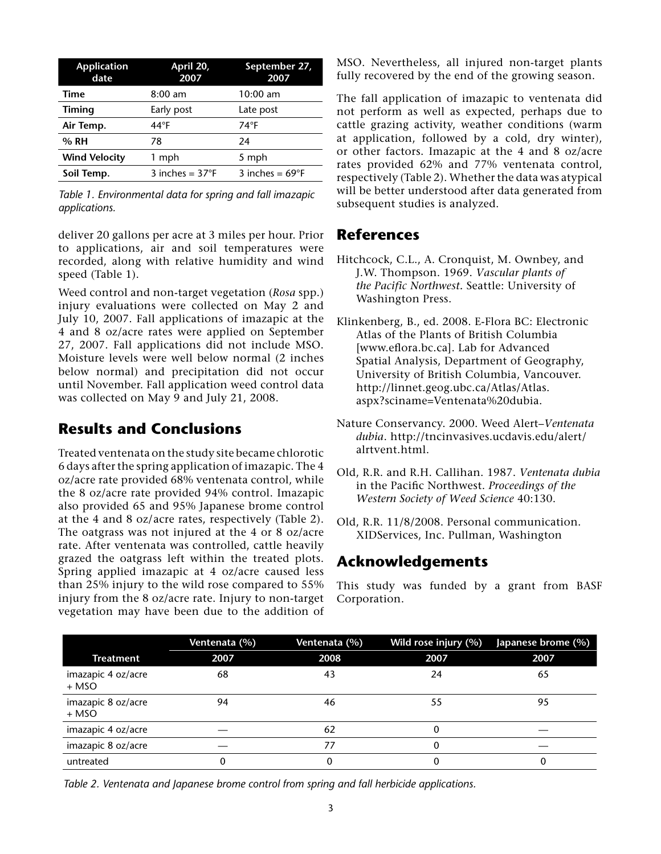| <b>Application</b><br>date | April 20,<br>2007        | September 27,<br>2007    |
|----------------------------|--------------------------|--------------------------|
| <b>Time</b>                | $8:00$ am                | $10:00$ am               |
| <b>Timing</b>              | Early post               | Late post                |
| Air Temp.                  | $44^{\circ}$ F           | 74°F                     |
| % RH                       | 78                       | 24                       |
| <b>Wind Velocity</b>       | 1 mph                    | 5 mph                    |
| Soil Temp.                 | 3 inches = $37^{\circ}F$ | 3 inches = $69^{\circ}F$ |

*Table 1. Environmental data for spring and fall imazapic applications.*

deliver 20 gallons per acre at 3 miles per hour. Prior to applications, air and soil temperatures were recorded, along with relative humidity and wind speed (Table 1).

Weed control and non-target vegetation (*Rosa* spp.) injury evaluations were collected on May 2 and July 10, 2007. Fall applications of imazapic at the 4 and 8 oz/acre rates were applied on September 27, 2007. Fall applications did not include MSO. Moisture levels were well below normal (2 inches below normal) and precipitation did not occur until November. Fall application weed control data was collected on May 9 and July 21, 2008.

## **Results and Conclusions**

Treated ventenata on the study site became chlorotic 6 days after the spring application of imazapic. The 4 oz/acre rate provided 68% ventenata control, while the 8 oz/acre rate provided 94% control. Imazapic also provided 65 and 95% Japanese brome control at the 4 and 8 oz/acre rates, respectively (Table 2). The oatgrass was not injured at the 4 or 8 oz/acre rate. After ventenata was controlled, cattle heavily grazed the oatgrass left within the treated plots. Spring applied imazapic at 4 oz/acre caused less than 25% injury to the wild rose compared to 55% injury from the 8 oz/acre rate. Injury to non-target vegetation may have been due to the addition of MSO. Nevertheless, all injured non-target plants fully recovered by the end of the growing season.

The fall application of imazapic to ventenata did not perform as well as expected, perhaps due to cattle grazing activity, weather conditions (warm at application, followed by a cold, dry winter), or other factors. Imazapic at the 4 and 8 oz/acre rates provided 62% and 77% ventenata control, respectively (Table 2). Whether the data was atypical will be better understood after data generated from subsequent studies is analyzed.

#### **References**

- Hitchcock, C.L., A. Cronquist, M. Ownbey, and J.W. Thompson. 1969. *Vascular plants of the Pacific Northwest.* Seattle: University of Washington Press.
- Klinkenberg, B., ed. 2008. E-Flora BC: Electronic Atlas of the Plants of British Columbia [www.eflora.bc.ca]. Lab for Advanced Spatial Analysis, Department of Geography, University of British Columbia, Vancouver. http://linnet.geog.ubc.ca/Atlas/Atlas. aspx?sciname=Ventenata%20dubia.
- Nature Conservancy. 2000. Weed Alert–*Ventenata dubia*. http://tncinvasives.ucdavis.edu/alert/ alrtvent.html.
- Old, R.R. and R.H. Callihan. 1987. *Ventenata dubia*  in the Pacific Northwest. *Proceedings of the Western Society of Weed Science* 40:130.
- Old, R.R. 11/8/2008. Personal communication. XIDServices, Inc. Pullman, Washington

## **Acknowledgements**

This study was funded by a grant from BASF Corporation.

|                               | Ventenata (%) | Ventenata (%) | Wild rose injury (%) | Japanese brome (%) |
|-------------------------------|---------------|---------------|----------------------|--------------------|
| <b>Treatment</b>              | 2007          | 2008          | 2007                 | 2007               |
| imazapic 4 oz/acre<br>$+$ MSO | 68            | 43            | 24                   | 65                 |
| imazapic 8 oz/acre<br>$+$ MSO | 94            | 46            | 55                   | 95                 |
| imazapic 4 oz/acre            |               | 62            | 0                    |                    |
| imazapic 8 oz/acre            |               | 77            | 0                    |                    |
| untreated                     |               |               | 0                    | 0                  |

*Table 2. Ventenata and Japanese brome control from spring and fall herbicide applications.*